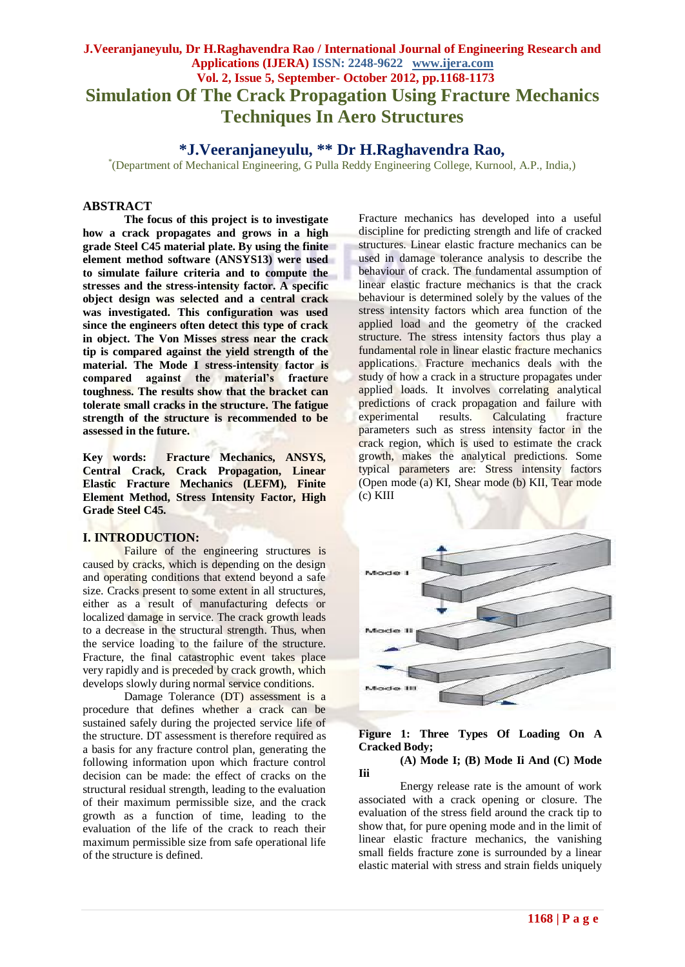# **J.Veeranjaneyulu, Dr H.Raghavendra Rao / International Journal of Engineering Research and Applications (IJERA) ISSN: 2248-9622 www.ijera.com Vol. 2, Issue 5, September- October 2012, pp.1168-1173 Simulation Of The Crack Propagation Using Fracture Mechanics Techniques In Aero Structures**

## **\*J.Veeranjaneyulu, \*\* Dr H.Raghavendra Rao,**

\* (Department of Mechanical Engineering, G Pulla Reddy Engineering College, Kurnool, A.P., India,)

#### **ABSTRACT**

**The focus of this project is to investigate how a crack propagates and grows in a high grade Steel C45 material plate. By using the finite element method software (ANSYS13) were used to simulate failure criteria and to compute the stresses and the stress-intensity factor. A specific object design was selected and a central crack was investigated. This configuration was used since the engineers often detect this type of crack in object. The Von Misses stress near the crack tip is compared against the yield strength of the material. The Mode I stress-intensity factor is compared against the material's fracture toughness. The results show that the bracket can tolerate small cracks in the structure. The fatigue strength of the structure is recommended to be assessed in the future.**

**Key words: Fracture Mechanics, ANSYS, Central Crack, Crack Propagation, Linear Elastic Fracture Mechanics (LEFM), Finite Element Method, Stress Intensity Factor, High Grade Steel C45.**

## **I. INTRODUCTION:**

Failure of the engineering structures is caused by cracks, which is depending on the design and operating conditions that extend beyond a safe size. Cracks present to some extent in all structures, either as a result of manufacturing defects or localized damage in service. The crack growth leads to a decrease in the structural strength. Thus, when the service loading to the failure of the structure. Fracture, the final catastrophic event takes place very rapidly and is preceded by crack growth, which develops slowly during normal service conditions.

Damage Tolerance (DT) assessment is a procedure that defines whether a crack can be sustained safely during the projected service life of the structure. DT assessment is therefore required as a basis for any fracture control plan, generating the following information upon which fracture control decision can be made: the effect of cracks on the structural residual strength, leading to the evaluation of their maximum permissible size, and the crack growth as a function of time, leading to the evaluation of the life of the crack to reach their maximum permissible size from safe operational life of the structure is defined.

Fracture mechanics has developed into a useful discipline for predicting strength and life of cracked structures. Linear elastic fracture mechanics can be used in damage tolerance analysis to describe the behaviour of crack. The fundamental assumption of linear elastic fracture mechanics is that the crack behaviour is determined solely by the values of the stress intensity factors which area function of the applied load and the geometry of the cracked structure. The stress intensity factors thus play a fundamental role in linear elastic fracture mechanics applications. Fracture mechanics deals with the study of how a crack in a structure propagates under applied loads. It involves correlating analytical predictions of crack propagation and failure with experimental results. Calculating fracture parameters such as stress intensity factor in the crack region, which is used to estimate the crack growth, makes the analytical predictions. Some typical parameters are: Stress intensity factors (Open mode (a) KI, Shear mode (b) KII, Tear mode (c) KIII



## **Figure 1: Three Types Of Loading On A Cracked Body;**

**Iii**

# **(A) Mode I; (B) Mode Ii And (C) Mode**

Energy release rate is the amount of work associated with a crack opening or closure. The evaluation of the stress field around the crack tip to show that, for pure opening mode and in the limit of linear elastic fracture mechanics, the vanishing small fields fracture zone is surrounded by a linear elastic material with stress and strain fields uniquely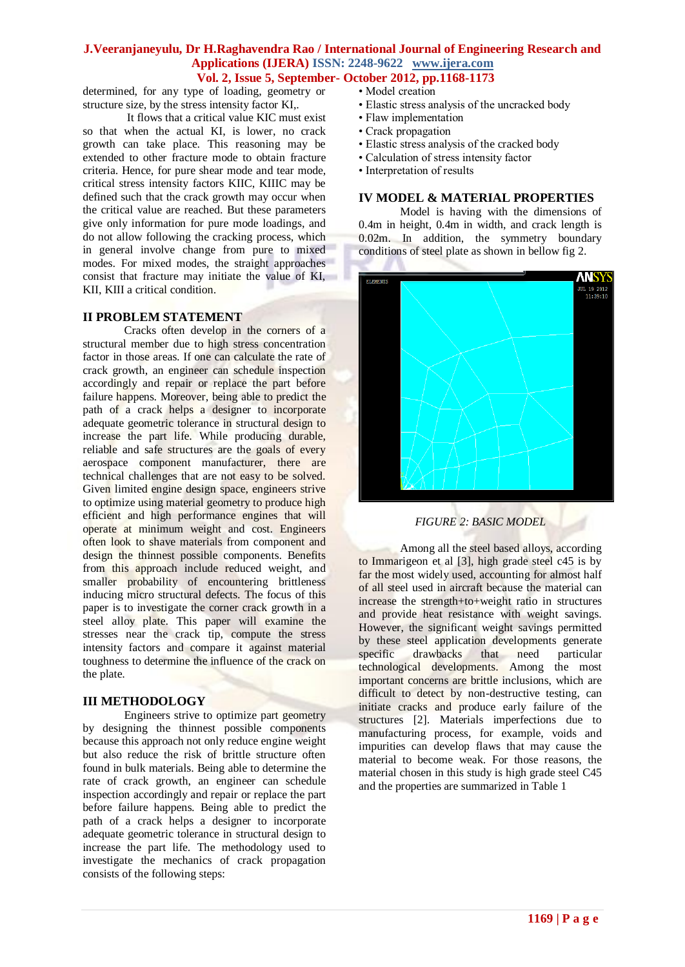determined, for any type of loading, geometry or structure size, by the stress intensity factor KI,.

It flows that a critical value KIC must exist so that when the actual KI, is lower, no crack growth can take place. This reasoning may be extended to other fracture mode to obtain fracture criteria. Hence, for pure shear mode and tear mode, critical stress intensity factors KIIC, KIIIC may be defined such that the crack growth may occur when the critical value are reached. But these parameters give only information for pure mode loadings, and do not allow following the cracking process, which in general involve change from pure to mixed modes. For mixed modes, the straight approaches consist that fracture may initiate the value of KI, KII, KIII a critical condition.

#### **II PROBLEM STATEMENT**

Cracks often develop in the corners of a structural member due to high stress concentration factor in those areas. If one can calculate the rate of crack growth, an engineer can schedule inspection accordingly and repair or replace the part before failure happens. Moreover, being able to predict the path of a crack helps a designer to incorporate adequate geometric tolerance in structural design to increase the part life. While producing durable, reliable and safe structures are the goals of every aerospace component manufacturer, there are technical challenges that are not easy to be solved. Given limited engine design space, engineers strive to optimize using material geometry to produce high efficient and high performance engines that will operate at minimum weight and cost. Engineers often look to shave materials from component and design the thinnest possible components. Benefits from this approach include reduced weight, and smaller probability of encountering brittleness inducing micro structural defects. The focus of this paper is to investigate the corner crack growth in a steel alloy plate. This paper will examine the stresses near the crack tip, compute the stress intensity factors and compare it against material toughness to determine the influence of the crack on the plate.

## **III METHODOLOGY**

Engineers strive to optimize part geometry by designing the thinnest possible components because this approach not only reduce engine weight but also reduce the risk of brittle structure often found in bulk materials. Being able to determine the rate of crack growth, an engineer can schedule inspection accordingly and repair or replace the part before failure happens. Being able to predict the path of a crack helps a designer to incorporate adequate geometric tolerance in structural design to increase the part life. The methodology used to investigate the mechanics of crack propagation consists of the following steps:

- Model creation
- Elastic stress analysis of the uncracked body
- Flaw implementation
- Crack propagation
- Elastic stress analysis of the cracked body
- Calculation of stress intensity factor
- Interpretation of results

## **IV MODEL & MATERIAL PROPERTIES**

Model is having with the dimensions of 0.4m in height, 0.4m in width, and crack length is 0.02m. In addition, the symmetry boundary conditions of steel plate as shown in bellow fig 2.



## *FIGURE 2: BASIC MODEL*

Among all the steel based alloys, according to Immarigeon et al [3], high grade steel c45 is by far the most widely used, accounting for almost half of all steel used in aircraft because the material can increase the strength+to+weight ratio in structures and provide heat resistance with weight savings. However, the significant weight savings permitted by these steel application developments generate specific drawbacks that need particular technological developments. Among the most important concerns are brittle inclusions, which are difficult to detect by non-destructive testing, can initiate cracks and produce early failure of the structures [2]. Materials imperfections due to manufacturing process, for example, voids and impurities can develop flaws that may cause the material to become weak. For those reasons, the material chosen in this study is high grade steel C45 and the properties are summarized in Table 1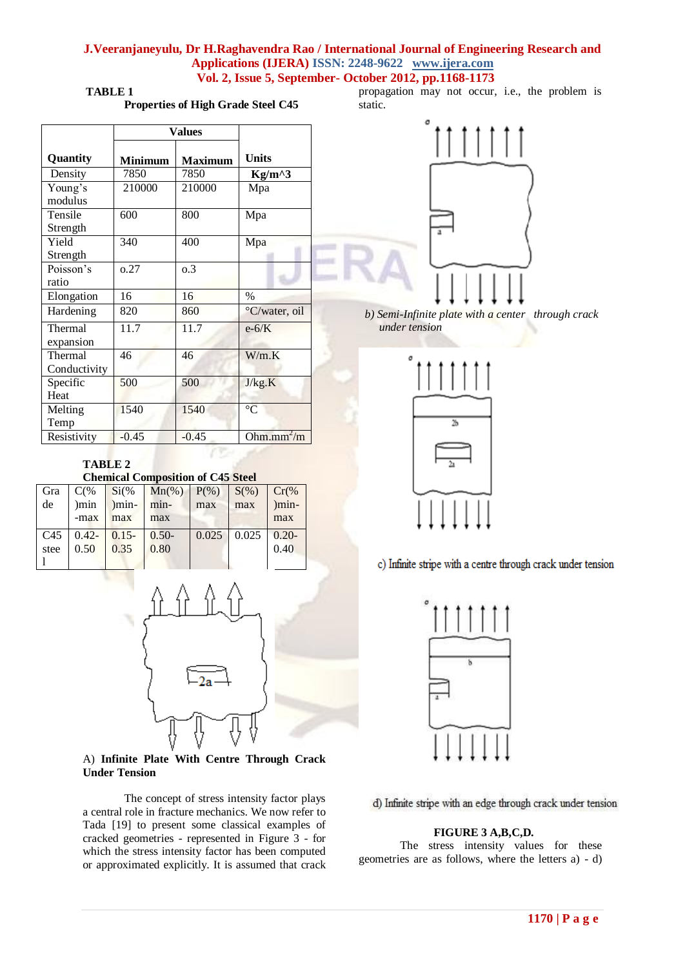**TABLE 1**

**Properties of High Grade Steel C45**

|              | <b>Values</b>  |                |                 |  |
|--------------|----------------|----------------|-----------------|--|
| Quantity     | <b>Minimum</b> | <b>Maximum</b> | <b>Units</b>    |  |
| Density      | 7850           | 7850           | $Kg/m^{3}$      |  |
| Young's      | 210000         | 210000         | Mpa             |  |
| modulus      |                |                |                 |  |
| Tensile      | 600            | 800            | Mpa             |  |
| Strength     |                |                |                 |  |
| Yield        | 340            | 400            | Mpa             |  |
| Strength     |                |                |                 |  |
| Poisson's    | 0.27           | 0.3            |                 |  |
| ratio        |                |                |                 |  |
| Elongation   | 16             | 16             | %               |  |
| Hardening    | 820            | 860            | °C/water, oil   |  |
| Thermal      | 11.7           | 11.7           | $e-6/K$         |  |
| expansion    |                |                |                 |  |
| Thermal      | 46             | 46             | W/m.K           |  |
| Conductivity |                |                |                 |  |
| Specific     | 500            | 500            | J/kg.K          |  |
| Heat         |                |                |                 |  |
| Melting      | 1540           | 1540           | $\rm ^{\circ}C$ |  |
| Temp         |                |                |                 |  |
| Resistivity  | $-0.45$        | $-0.45$        | Ohm.mm $^2/m$   |  |

propagation may not occur, i.e., the problem is static.



 *b) Semi-Infinite plate with a center through crack under tension*



c) Infinite stripe with a centre through crack under tension



d) Infinite stripe with an edge through crack under tension

#### **FIGURE 3 A,B,C,D.**

The stress intensity values for these geometries are as follows, where the letters a) - d)

#### **TABLE 2 Chemical Composition of C45 Steel**

| Gra  |        |                         | $C(\%$ Si(% Mn(%) P(%) S(%) Cr(% |     |                    |         |
|------|--------|-------------------------|----------------------------------|-----|--------------------|---------|
| de   | $\min$ | $\sum_{m=1}^{\infty}$   | min-                             | max | max                | $)min-$ |
|      | -max   | max                     | max                              |     |                    | max     |
|      |        | $C45$ 0.42- 0.15- 0.50- |                                  |     | $0.025$ 0.025 0.20 |         |
| stee | 0.50   | 0.35                    | 0.80                             |     |                    | 0.40    |
|      |        |                         |                                  |     |                    |         |



A) **Infinite Plate With Centre Through Crack Under Tension**

The concept of stress intensity factor plays a central role in fracture mechanics. We now refer to Tada [19] to present some classical examples of cracked geometries - represented in Figure 3 - for which the stress intensity factor has been computed or approximated explicitly. It is assumed that crack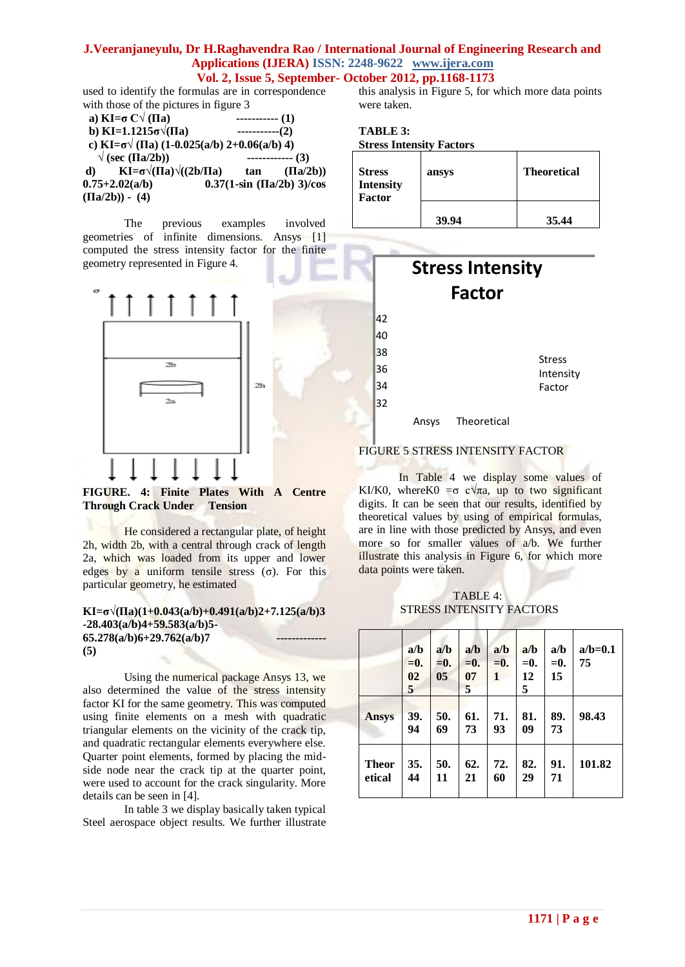used to identify the formulas are in correspondence with those of the pictures in figure 3

| a) $KI = \sigma C \sqrt{\Pi a}$                            | $-----(1)$ |                                |
|------------------------------------------------------------|------------|--------------------------------|
| b) KI=1.1215 $\sigma\sqrt{\Pi}$ a)                         | $-----(2)$ |                                |
| c) KI= $\sigma$ $\sqrt{(IIa)(1-0.025(a/b) 2+0.06(a/b) 4)}$ |            |                                |
| $\sqrt{\text{(sec (Tla/2b))}}$                             |            | ------------- (3)              |
| $KL = \sigma \sqrt{\Pi a} \sqrt{\Pi a}$<br>$\mathbf{d}$    | tan        | (IIa/2b))                      |
| $0.75 + 2.02(a/b)$                                         |            | $0.37(1-sin (\Pi a/2b) 3)/cos$ |
| $(\Pi a/2b)) - (4)$                                        |            |                                |

The previous examples involved geometries of infinite dimensions. Ansys [1] computed the stress intensity factor for the finite geometry represented in Figure 4.



**FIGURE. 4: Finite Plates With A Centre Through Crack Under Tension**

He considered a rectangular plate, of height 2h, width 2b, with a central through crack of length 2a, which was loaded from its upper and lower edges by a uniform tensile stress  $(σ)$ . For this particular geometry, he estimated

#### **KI=σ√(Πa)(1+0.043(a/b)+0.491(a/b)2+7.125(a/b)3 -28.403(a/b)4+59.583(a/b)5-**  65.278(a/b)6+29.762(a/b)7 **(5)**

Using the numerical package Ansys 13, we also determined the value of the stress intensity factor KI for the same geometry. This was computed using finite elements on a mesh with quadratic triangular elements on the vicinity of the crack tip, and quadratic rectangular elements everywhere else. Quarter point elements, formed by placing the midside node near the crack tip at the quarter point, were used to account for the crack singularity. More details can be seen in [4].

In table 3 we display basically taken typical Steel aerospace object results. We further illustrate this analysis in Figure 5, for which more data points were taken.

**TABLE 3: Stress Intensity Factors**

| <b>Stress</b><br><b>Intensity</b><br><b>Factor</b> | ansys | <b>Theoretical</b> |  |  |
|----------------------------------------------------|-------|--------------------|--|--|
|                                                    | 39.94 | 35.44              |  |  |



## FIGURE 5 STRESS INTENSITY FACTOR

In Table 4 we display some values of KI/K0, where K0 =  $\sigma$  c $\sqrt{\pi a}$ , up to two significant digits. It can be seen that our results, identified by theoretical values by using of empirical formulas, are in line with those predicted by Ansys, and even more so for smaller values of a/b. We further illustrate this analysis in Figure 6, for which more data points were taken.

 TABLE 4: STRESS INTENSITY FACTORS

|                        | a/b<br>$=$ 0.<br>02<br>$\overline{5}$ | a/b<br>$=$ 0.<br>05 | a/b<br>$=$ 0.<br>07<br>5 | a/b<br>$=$ 0.<br>1 | a/b<br>$=$ 0.<br>12<br>5 | a/b<br>$=$ 0.<br>15 | $a/b=0.1$<br>75 |
|------------------------|---------------------------------------|---------------------|--------------------------|--------------------|--------------------------|---------------------|-----------------|
| <b>Ansys</b>           | 39.<br>94                             | 50.<br>69           | 61.<br>73                | 71.<br>93          | 81.<br>09                | 89.<br>73           | 98.43           |
| <b>Theor</b><br>etical | 35.<br>44                             | 50.<br>11           | 62.<br>21                | 72.<br>60          | 82.<br>29                | 91.<br>71           | 101.82          |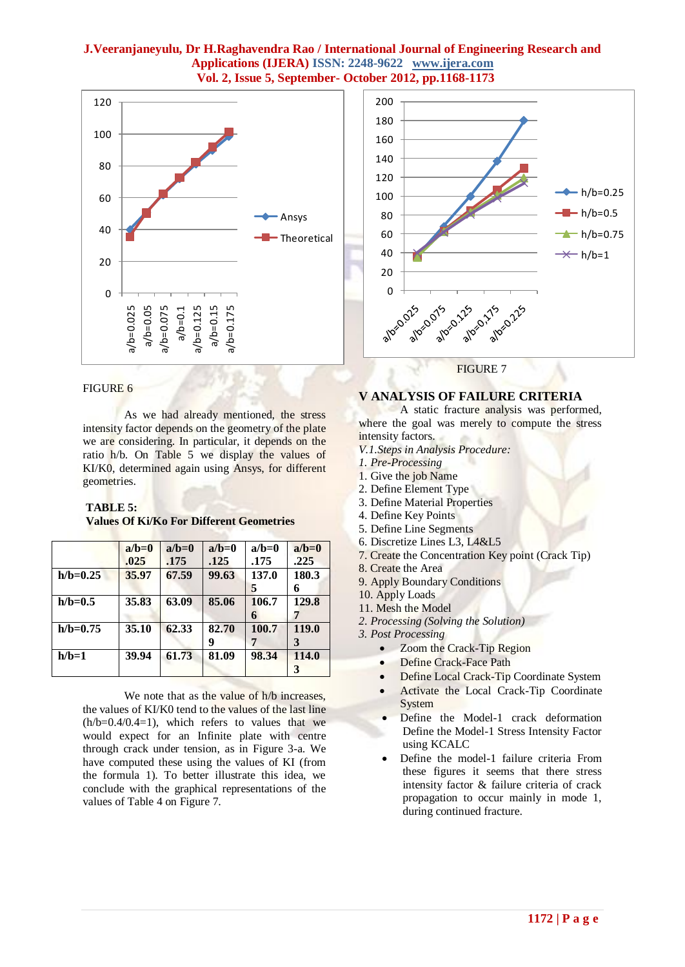

#### FIGURE 6

As we had already mentioned, the stress intensity factor depends on the geometry of the plate we are considering. In particular, it depends on the ratio h/b. On Table 5 we display the values of KI/K0, determined again using Ansys, for different geometries.

## **TABLE 5: Values Of Ki/Ko For Different Geometries**

|              | $a/b=0$ | $a/b=0$ | $a/b=0$ | $a/b=0$ | $a/b=0$ |
|--------------|---------|---------|---------|---------|---------|
|              | .025    | .175    | .125    | .175    | .225    |
| $h/b = 0.25$ | 35.97   | 67.59   | 99.63   | 137.0   | 180.3   |
|              |         |         |         | 5       | 6       |
| $h/b=0.5$    | 35.83   | 63.09   | 85.06   | 106.7   | 129.8   |
|              |         |         |         | 6       |         |
| $h/b=0.75$   | 35.10   | 62.33   | 82.70   | 100.7   | 119.0   |
|              |         |         |         |         | 3       |
| $h/b=1$      | 39.94   | 61.73   | 81.09   | 98.34   | 114.0   |
|              |         |         |         |         | 3       |

We note that as the value of h/b increases, the values of KI/K0 tend to the values of the last line  $(h/b=0.4/0.4=1)$ , which refers to values that we would expect for an Infinite plate with centre through crack under tension, as in Figure 3-a. We have computed these using the values of KI (from the formula 1). To better illustrate this idea, we conclude with the graphical representations of the values of Table 4 on Figure 7.



**FIGURE 7** 

## **V ANALYSIS OF FAILURE CRITERIA**

A static fracture analysis was performed, where the goal was merely to compute the stress intensity factors.

*V.1.Steps in Analysis Procedure:*

- *1. Pre-Processing*
- 1. Give the job Name
- 2. Define Element Type
- 3. Define Material Properties
- 4. Define Key Points
- 5. Define Line Segments
- 6. Discretize Lines L3, L4&L5
- 7. Create the Concentration Key point (Crack Tip)
- 8. Create the Area
- 9. Apply Boundary Conditions
- 10. Apply Loads

11. Mesh the Model

*2*. *Processing (Solving the Solution)*

*3. Post Processing*

- Zoom the Crack-Tip Region
- Define Crack-Face Path
- Define Local Crack-Tip Coordinate System
- Activate the Local Crack-Tip Coordinate System
- Define the Model-1 crack deformation Define the Model-1 Stress Intensity Factor using KCALC
- Define the model-1 failure criteria From these figures it seems that there stress intensity factor & failure criteria of crack propagation to occur mainly in mode 1, during continued fracture.